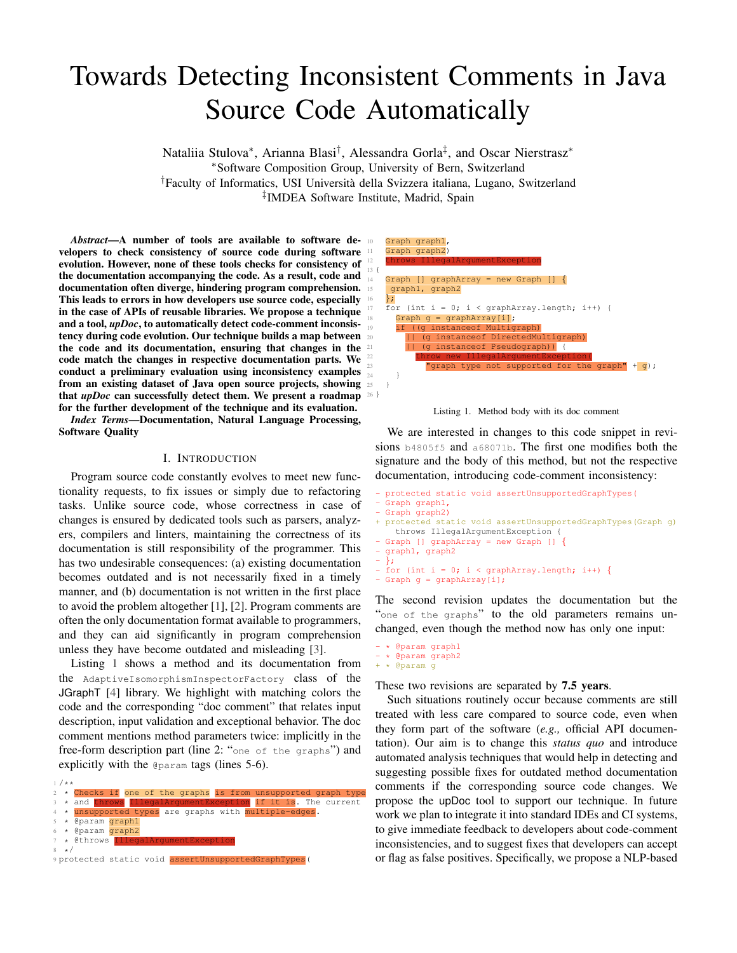# Towards Detecting Inconsistent Comments in Java Source Code Automatically

Nataliia Stulova<sup>∗</sup> , Arianna Blasi† , Alessandra Gorla‡ , and Oscar Nierstrasz<sup>∗</sup> <sup>∗</sup>Software Composition Group, University of Bern, Switzerland †Faculty of Informatics, USI Universita della Svizzera italiana, Lugano, Switzerland ` ‡ IMDEA Software Institute, Madrid, Spain

*Abstract*—A number of tools are available to software developers to check consistency of source code during software  $\mathbb{H}$ evolution. However, none of these tools checks for consistency of  $\frac{12}{13}$  { the documentation accompanying the code. As a result, code and  $\frac{1}{14}$ documentation often diverge, hindering program comprehension. This leads to errors in how developers use source code, especially in the case of APIs of reusable libraries. We propose a technique and a tool, *upDoc*, to automatically detect code-comment inconsistency during code evolution. Our technique builds a map between 20 the code and its documentation, ensuring that changes in the code match the changes in respective documentation parts. We conduct a preliminary evaluation using inconsistency examples from an existing dataset of Java open source projects, showing  $\frac{1}{25}$ that *upDoc* can successfully detect them. We present a roadmap 26 } for the further development of the technique and its evaluation.

*Index Terms*—Documentation, Natural Language Processing, Software Quality

## I. INTRODUCTION

Program source code constantly evolves to meet new functionality requests, to fix issues or simply due to refactoring tasks. Unlike source code, whose correctness in case of changes is ensured by dedicated tools such as parsers, analyzers, compilers and linters, maintaining the correctness of its documentation is still responsibility of the programmer. This has two undesirable consequences: (a) existing documentation becomes outdated and is not necessarily fixed in a timely manner, and (b) documentation is not written in the first place to avoid the problem altogether [\[1\]](#page-4-0), [\[2\]](#page-4-1). Program comments are often the only documentation format available to programmers, and they can aid significantly in program comprehension unless they have become outdated and misleading [\[3\]](#page-4-2).

Listing [1](#page-0-0) shows a method and its documentation from the AdaptiveIsomorphismInspectorFactory class of the JGraphT [\[4\]](#page-4-3) library. We highlight with matching colors the code and the corresponding "doc comment" that relates input description, input validation and exceptional behavior. The doc comment mentions method parameters twice: implicitly in the free-form description part (line 2: "one of the graphs") and explicitly with the @param tags (lines 5-6).

<span id="page-0-0"></span>

| $1 / * *$ |      |                                                                       |  |  |  |  |  |
|-----------|------|-----------------------------------------------------------------------|--|--|--|--|--|
|           |      | $2 \times$ Checks if one of the graphs is from unsupported graph type |  |  |  |  |  |
|           |      | * and throws IllegalArqumentException if it is. The current           |  |  |  |  |  |
|           |      | 4 * unsupported types are graphs with multiple-edges.                 |  |  |  |  |  |
|           |      | 5 * @param graph1                                                     |  |  |  |  |  |
|           |      | 6 * @param graph2                                                     |  |  |  |  |  |
|           |      | * @throws IllegalArgumentException                                    |  |  |  |  |  |
|           | 8 */ |                                                                       |  |  |  |  |  |
|           |      | protected static void assertUnsupportedGraphTypes(                    |  |  |  |  |  |





We are interested in changes to this code snippet in revisions [b4805f5](https://github.com/jgrapht/jgrapht/commit/b4805f5d86b128879dfab0c1dd754e481a6373b2) and [a68071b](https://github.com/jgrapht/jgrapht/commit/a68071b429bd54a8b2c7cb0da3c938088e80ad9a). The first one modifies both the signature and the body of this method, but not the respective documentation, introducing code-comment inconsistency:

```
- protected static void assertUnsupportedGraphTypes(
- Graph graph1,
- Graph graph2)
+ protected static void assertUnsupportedGraphTypes(Graph g)
   throws IllegalArgumentException {
- Graph [] graphArray = new Graph [] {
- graph1, graph2
- };
- for (int i = 0; i < graphArray.length; i++) {
- Graph q = qraphArray[i];
```
The second revision updates the documentation but the "one of the graphs" to the old parameters remains unchanged, even though the method now has only one input:

```
- * @param graph1
- * @param graph2
+ * @param g
```
These two revisions are separated by **7.5 years**.

Such situations routinely occur because comments are still treated with less care compared to source code, even when they form part of the software (*e.g.,* official API documentation). Our aim is to change this *status quo* and introduce automated analysis techniques that would help in detecting and suggesting possible fixes for outdated method documentation comments if the corresponding source code changes. We propose the upDoc tool to support our technique. In future work we plan to integrate it into standard IDEs and CI systems, to give immediate feedback to developers about code-comment inconsistencies, and to suggest fixes that developers can accept or flag as false positives. Specifically, we propose a NLP-based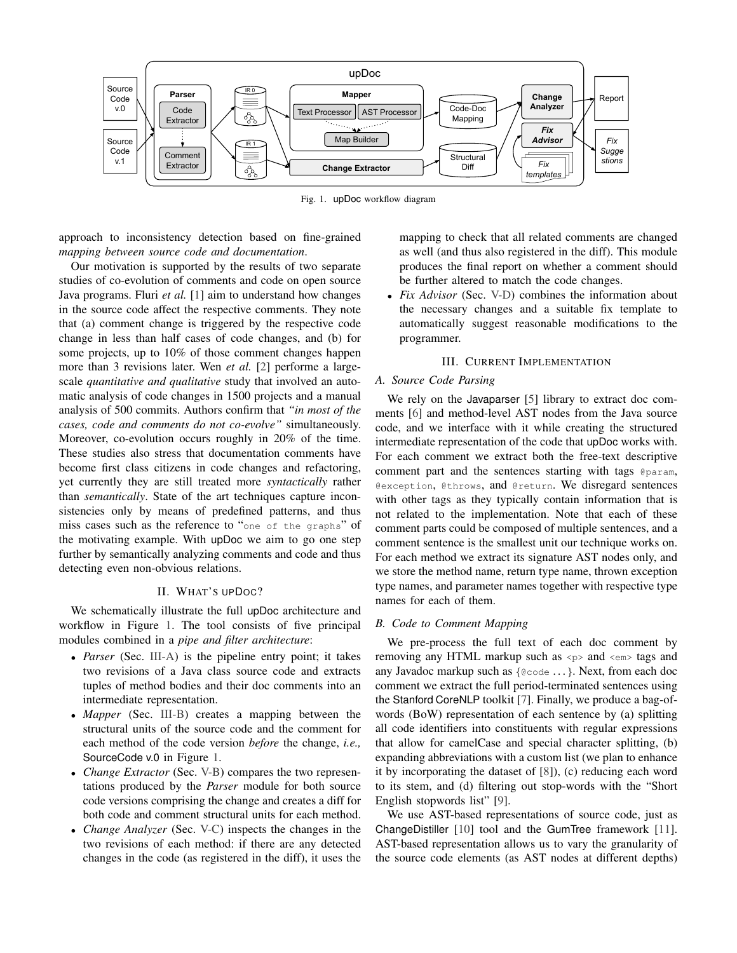

Fig. 1. upDoc workflow diagram

approach to inconsistency detection based on fine-grained *mapping between source code and documentation*.

Our motivation is supported by the results of two separate studies of co-evolution of comments and code on open source Java programs. Fluri *et al.* [\[1\]](#page-4-0) aim to understand how changes in the source code affect the respective comments. They note that (a) comment change is triggered by the respective code change in less than half cases of code changes, and (b) for some projects, up to 10% of those comment changes happen more than 3 revisions later. Wen *et al.* [\[2\]](#page-4-1) performe a largescale *quantitative and qualitative* study that involved an automatic analysis of code changes in 1500 projects and a manual analysis of 500 commits. Authors confirm that *"in most of the cases, code and comments do not co-evolve"* simultaneously. Moreover, co-evolution occurs roughly in 20% of the time. These studies also stress that documentation comments have become first class citizens in code changes and refactoring, yet currently they are still treated more *syntactically* rather than *semantically*. State of the art techniques capture inconsistencies only by means of predefined patterns, and thus miss cases such as the reference to "one of the graphs" of the motivating example. With upDoc we aim to go one step further by semantically analyzing comments and code and thus detecting even non-obvious relations.

#### II. WHAT'S UPDOC?

We schematically illustrate the full upDoc architecture and workflow in Figure [1.](#page-1-0) The tool consists of five principal modules combined in a *pipe and filter architecture*:

- *Parser* (Sec. [III-A\)](#page-1-1) is the pipeline entry point; it takes two revisions of a Java class source code and extracts tuples of method bodies and their doc comments into an intermediate representation.
- *Mapper* (Sec. [III-B\)](#page-1-2) creates a mapping between the structural units of the source code and the comment for each method of the code version *before* the change, *i.e.,* SourceCode v.0 in Figure [1.](#page-1-0)
- *Change Extractor* (Sec. [V-B\)](#page-3-0) compares the two representations produced by the *Parser* module for both source code versions comprising the change and creates a diff for both code and comment structural units for each method.
- *Change Analyzer* (Sec. [V-C\)](#page-3-1) inspects the changes in the two revisions of each method: if there are any detected changes in the code (as registered in the diff), it uses the

<span id="page-1-0"></span>mapping to check that all related comments are changed as well (and thus also registered in the diff). This module produces the final report on whether a comment should be further altered to match the code changes.

• *Fix Advisor* (Sec. [V-D\)](#page-3-2) combines the information about the necessary changes and a suitable fix template to automatically suggest reasonable modifications to the programmer.

#### III. CURRENT IMPLEMENTATION

#### <span id="page-1-1"></span>*A. Source Code Parsing*

We rely on the Javaparser [\[5\]](#page-4-4) library to extract doc comments [\[6\]](#page-4-5) and method-level AST nodes from the Java source code, and we interface with it while creating the structured intermediate representation of the code that upDoc works with. For each comment we extract both the free-text descriptive comment part and the sentences starting with tags @param, @exception, @throws, and @return. We disregard sentences with other tags as they typically contain information that is not related to the implementation. Note that each of these comment parts could be composed of multiple sentences, and a comment sentence is the smallest unit our technique works on. For each method we extract its signature AST nodes only, and we store the method name, return type name, thrown exception type names, and parameter names together with respective type names for each of them.

# <span id="page-1-2"></span>*B. Code to Comment Mapping*

We pre-process the full text of each doc comment by removing any HTML markup such as  $\langle p \rangle$  and  $\langle q \rangle$  tags and any Javadoc markup such as  ${$ @code ... }. Next, from each doc comment we extract the full period-terminated sentences using the Stanford CoreNLP toolkit [\[7\]](#page-4-6). Finally, we produce a bag-ofwords (BoW) representation of each sentence by (a) splitting all code identifiers into constituents with regular expressions that allow for camelCase and special character splitting, (b) expanding abbreviations with a custom list (we plan to enhance it by incorporating the dataset of [\[8\]](#page-4-7)), (c) reducing each word to its stem, and (d) filtering out stop-words with the "Short English stopwords list" [\[9\]](#page-4-8).

We use AST-based representations of source code, just as ChangeDistiller [\[10\]](#page-4-9) tool and the GumTree framework [\[11\]](#page-4-10). AST-based representation allows us to vary the granularity of the source code elements (as AST nodes at different depths)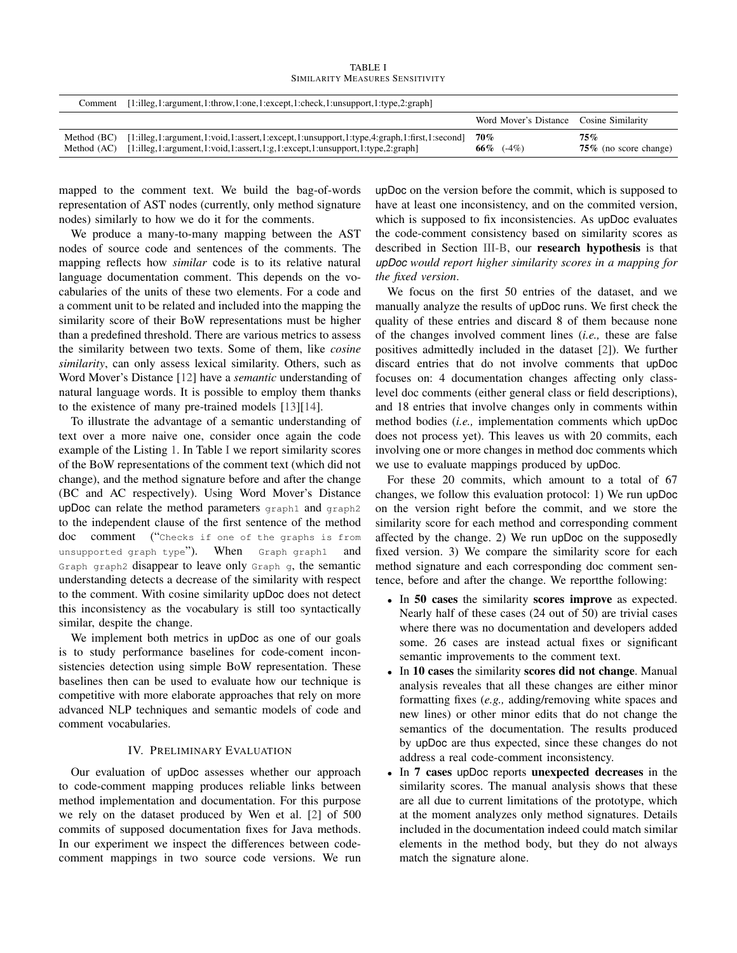| <b>TABLE I</b> |  |                                        |  |  |  |
|----------------|--|----------------------------------------|--|--|--|
|                |  | <b>SIMILARITY MEASURES SENSITIVITY</b> |  |  |  |

<span id="page-2-0"></span>

| Comment                    | $[1:  leg, 1:argument, 1:throw, 1:one, 1:except, 1:check, 1:unsupport, 1:type, 2:graph]$                                                                                                                                                                                                           |                                         |                                 |
|----------------------------|----------------------------------------------------------------------------------------------------------------------------------------------------------------------------------------------------------------------------------------------------------------------------------------------------|-----------------------------------------|---------------------------------|
|                            |                                                                                                                                                                                                                                                                                                    | Word Mover's Distance Cosine Similarity |                                 |
| Method (BC)<br>Method (AC) | $[1:]$ illeg, $1:$ argument, $1:$ void, $1:$ assert, $1:$ except, $1:$ unsupport, $1:$ type, $4:$ graph, $1:$ first, $1:$ second<br>$[1:] \text{llge}, 1: \text{argument}, 1: \text{void}, 1: \text{assert}, 1: \text{g}, 1: \text{except}, 1: \text{unsupport}, 1: \text{type}, 2: \text{graph}]$ | 70%<br>66\% $(-4\%)$                    | 75%<br>$75\%$ (no score change) |

mapped to the comment text. We build the bag-of-words representation of AST nodes (currently, only method signature nodes) similarly to how we do it for the comments.

We produce a many-to-many mapping between the AST nodes of source code and sentences of the comments. The mapping reflects how *similar* code is to its relative natural language documentation comment. This depends on the vocabularies of the units of these two elements. For a code and a comment unit to be related and included into the mapping the similarity score of their BoW representations must be higher than a predefined threshold. There are various metrics to assess the similarity between two texts. Some of them, like *cosine similarity*, can only assess lexical similarity. Others, such as Word Mover's Distance [\[12\]](#page-4-11) have a *semantic* understanding of natural language words. It is possible to employ them thanks to the existence of many pre-trained models [\[13\]](#page-4-12)[\[14\]](#page-4-13).

To illustrate the advantage of a semantic understanding of text over a more naive one, consider once again the code example of the Listing [1.](#page-0-0) In Table [I](#page-2-0) we report similarity scores of the BoW representations of the comment text (which did not change), and the method signature before and after the change (BC and AC respectively). Using Word Mover's Distance upDoc can relate the method parameters graph1 and graph2 to the independent clause of the first sentence of the method doc comment ("Checks if one of the graphs is from unsupported graph type"). When Graph graph1 and Graph graph2 disappear to leave only Graph g, the semantic understanding detects a decrease of the similarity with respect to the comment. With cosine similarity upDoc does not detect this inconsistency as the vocabulary is still too syntactically similar, despite the change.

We implement both metrics in upDoc as one of our goals is to study performance baselines for code-coment inconsistencies detection using simple BoW representation. These baselines then can be used to evaluate how our technique is competitive with more elaborate approaches that rely on more advanced NLP techniques and semantic models of code and comment vocabularies.

## IV. PRELIMINARY EVALUATION

Our evaluation of upDoc assesses whether our approach to code-comment mapping produces reliable links between method implementation and documentation. For this purpose we rely on the dataset produced by Wen et al. [\[2\]](#page-4-1) of 500 commits of supposed documentation fixes for Java methods. In our experiment we inspect the differences between codecomment mappings in two source code versions. We run

upDoc on the version before the commit, which is supposed to have at least one inconsistency, and on the commited version, which is supposed to fix inconsistencies. As upDoc evaluates the code-comment consistency based on similarity scores as described in Section [III-B,](#page-1-2) our research hypothesis is that *upDoc would report higher similarity scores in a mapping for the fixed version*.

We focus on the first 50 entries of the dataset, and we manually analyze the results of upDoc runs. We first check the quality of these entries and discard 8 of them because none of the changes involved comment lines (*i.e.,* these are false positives admittedly included in the dataset [\[2\]](#page-4-1)). We further discard entries that do not involve comments that upDoc focuses on: 4 documentation changes affecting only classlevel doc comments (either general class or field descriptions), and 18 entries that involve changes only in comments within method bodies (*i.e.,* implementation comments which upDoc does not process yet). This leaves us with 20 commits, each involving one or more changes in method doc comments which we use to evaluate mappings produced by upDoc.

For these 20 commits, which amount to a total of 67 changes, we follow this evaluation protocol: 1) We run upDoc on the version right before the commit, and we store the similarity score for each method and corresponding comment affected by the change. 2) We run upDoc on the supposedly fixed version. 3) We compare the similarity score for each method signature and each corresponding doc comment sentence, before and after the change. We reportthe following:

- In 50 cases the similarity scores improve as expected. Nearly half of these cases (24 out of 50) are trivial cases where there was no documentation and developers added some. 26 cases are instead actual fixes or significant semantic improvements to the comment text.
- In 10 cases the similarity scores did not change. Manual analysis reveales that all these changes are either minor formatting fixes (*e.g.,* adding/removing white spaces and new lines) or other minor edits that do not change the semantics of the documentation. The results produced by upDoc are thus expected, since these changes do not address a real code-comment inconsistency.
- In 7 cases upDoc reports unexpected decreases in the similarity scores. The manual analysis shows that these are all due to current limitations of the prototype, which at the moment analyzes only method signatures. Details included in the documentation indeed could match similar elements in the method body, but they do not always match the signature alone.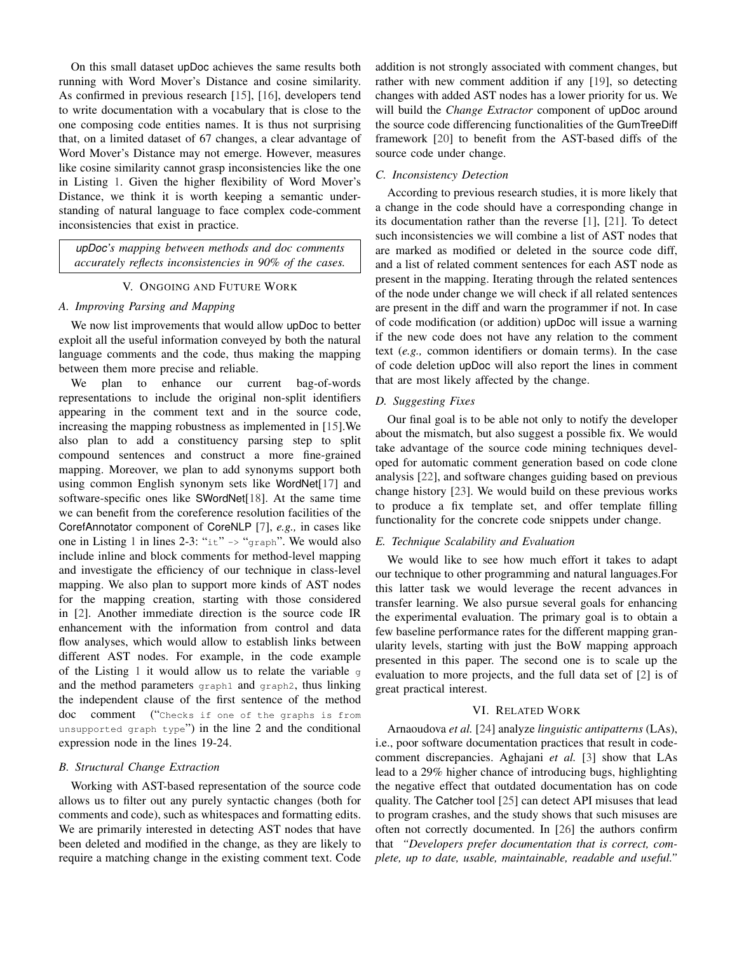On this small dataset upDoc achieves the same results both running with Word Mover's Distance and cosine similarity. As confirmed in previous research [\[15\]](#page-4-14), [\[16\]](#page-4-15), developers tend to write documentation with a vocabulary that is close to the one composing code entities names. It is thus not surprising that, on a limited dataset of 67 changes, a clear advantage of Word Mover's Distance may not emerge. However, measures like cosine similarity cannot grasp inconsistencies like the one in Listing [1.](#page-0-0) Given the higher flexibility of Word Mover's Distance, we think it is worth keeping a semantic understanding of natural language to face complex code-comment inconsistencies that exist in practice.

*upDoc's mapping between methods and doc comments accurately reflects inconsistencies in 90% of the cases.*

#### V. ONGOING AND FUTURE WORK

# *A. Improving Parsing and Mapping*

We now list improvements that would allow upDoc to better exploit all the useful information conveyed by both the natural language comments and the code, thus making the mapping between them more precise and reliable.

We plan to enhance our current bag-of-words representations to include the original non-split identifiers appearing in the comment text and in the source code, increasing the mapping robustness as implemented in [\[15\]](#page-4-14).We also plan to add a constituency parsing step to split compound sentences and construct a more fine-grained mapping. Moreover, we plan to add synonyms support both using common English synonym sets like WordNet[\[17\]](#page-4-16) and software-specific ones like SWordNet[\[18\]](#page-4-17). At the same time we can benefit from the coreference resolution facilities of the CorefAnnotator component of CoreNLP [\[7\]](#page-4-6), *e.g.,* in cases like one in Listing [1](#page-0-0) in lines 2-3: " $i \times i$ " -> "graph". We would also include inline and block comments for method-level mapping and investigate the efficiency of our technique in class-level mapping. We also plan to support more kinds of AST nodes for the mapping creation, starting with those considered in [\[2\]](#page-4-1). Another immediate direction is the source code IR enhancement with the information from control and data flow analyses, which would allow to establish links between different AST nodes. For example, in the code example of the Listing [1](#page-0-0) it would allow us to relate the variable  $q$ and the method parameters graph1 and graph2, thus linking the independent clause of the first sentence of the method doc comment ("Checks if one of the graphs is from unsupported graph type") in the line 2 and the conditional expression node in the lines 19-24.

## <span id="page-3-0"></span>*B. Structural Change Extraction*

Working with AST-based representation of the source code allows us to filter out any purely syntactic changes (both for comments and code), such as whitespaces and formatting edits. We are primarily interested in detecting AST nodes that have been deleted and modified in the change, as they are likely to require a matching change in the existing comment text. Code addition is not strongly associated with comment changes, but rather with new comment addition if any [\[19\]](#page-4-18), so detecting changes with added AST nodes has a lower priority for us. We will build the *Change Extractor* component of upDoc around the source code differencing functionalities of the GumTreeDiff framework [\[20\]](#page-4-19) to benefit from the AST-based diffs of the source code under change.

# <span id="page-3-1"></span>*C. Inconsistency Detection*

According to previous research studies, it is more likely that a change in the code should have a corresponding change in its documentation rather than the reverse [\[1\]](#page-4-0), [\[21\]](#page-4-20). To detect such inconsistencies we will combine a list of AST nodes that are marked as modified or deleted in the source code diff, and a list of related comment sentences for each AST node as present in the mapping. Iterating through the related sentences of the node under change we will check if all related sentences are present in the diff and warn the programmer if not. In case of code modification (or addition) upDoc will issue a warning if the new code does not have any relation to the comment text (*e.g.,* common identifiers or domain terms). In the case of code deletion upDoc will also report the lines in comment that are most likely affected by the change.

#### <span id="page-3-2"></span>*D. Suggesting Fixes*

Our final goal is to be able not only to notify the developer about the mismatch, but also suggest a possible fix. We would take advantage of the source code mining techniques developed for automatic comment generation based on code clone analysis [\[22\]](#page-4-21), and software changes guiding based on previous change history [\[23\]](#page-4-22). We would build on these previous works to produce a fix template set, and offer template filling functionality for the concrete code snippets under change.

## *E. Technique Scalability and Evaluation*

We would like to see how much effort it takes to adapt our technique to other programming and natural languages.For this latter task we would leverage the recent advances in transfer learning. We also pursue several goals for enhancing the experimental evaluation. The primary goal is to obtain a few baseline performance rates for the different mapping granularity levels, starting with just the BoW mapping approach presented in this paper. The second one is to scale up the evaluation to more projects, and the full data set of [\[2\]](#page-4-1) is of great practical interest.

## VI. RELATED WORK

Arnaoudova *et al.* [\[24\]](#page-4-23) analyze *linguistic antipatterns* (LAs), i.e., poor software documentation practices that result in codecomment discrepancies. Aghajani *et al.* [\[3\]](#page-4-2) show that LAs lead to a 29% higher chance of introducing bugs, highlighting the negative effect that outdated documentation has on code quality. The Catcher tool [\[25\]](#page-4-24) can detect API misuses that lead to program crashes, and the study shows that such misuses are often not correctly documented. In [\[26\]](#page-4-25) the authors confirm that *"Developers prefer documentation that is correct, complete, up to date, usable, maintainable, readable and useful."*